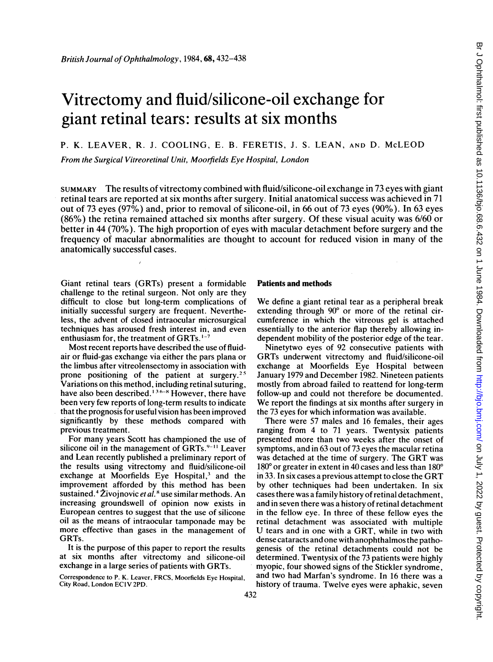# Vitrectomy and fluid/silicone-oil exchange for giant retinal tears: results at six months

# P. K. LEAVER, R. J. COOLING, E. B. FERETIS, J. S. LEAN, AND D. McLEOD

From the Surgical Vitreoretinal Unit, Moorfields Eye Hospital, London

SUMMARY The results of vitrectomy combined with fluid/silicone-oil exchange in 73 eyes with giant retinal tears are reported at six months after surgery. Initial anatomical success was achieved in 71 out of 73 eyes (97%) and, prior to removal of silicone-oil, in 66 out of 73 eyes (90%). In 63 eyes (86%) the retina remained attached six months after surgery. Of these visual acuity was 6/60 or better in 44 (70%). The high proportion of eyes with macular detachment before surgery and the frequency of macular abnormalities are thought to account for reduced vision in many of the anatomically successful cases.

Giant retinal tears (GRTs) present a formidable challenge to the retinal surgeon. Not only are they difficult to close but long-term complications of initially successful surgery are frequent. Nevertheless, the advent of closed intraocular microsurgical techniques has aroused fresh interest in, and even enthusiasm for, the treatment of GRTs. $1-7$ 

Most recent reports have described the use of fluidair or fluid-gas exchange via either the pars plana or the limbus after vitreolensectomy in association with prone positioning of the patient at surgery.<sup>25</sup> Variations on this method, including retinal suturing, have also been described.<sup>136-8</sup> However, there have been very few reports of long-term results to indicate that the prognosis for useful vision has been improved significantly by these methods compared with previous treatment.

For many years Scott has championed the use of silicone oil in the management of  $GRTs$ .<sup>9-11</sup> Leaver and Lean recently published a preliminary report of the results using vitrectomy and fluid/silicone-oil exchange at Moorfields Eye Hospital,<sup>3</sup> and the improvement afforded by this method has been sustained.<sup>4</sup> Živojnovic *et al.*<sup>8</sup> use similar methods. An increasing groundswell of opinion now exists in European centres to suggest that the use of silicone oil as the means of intraocular tamponade may be more effective than gases in the management of GRTs.

It is the purpose of this paper to report the results at six months after vitrectomy and silicone-oil exchange in a large series of patients with GRTs.

Correspondence to P. K. Leavcr, FRCS, Moorfields Eye Hospital, City Road, London EC1V 2PD.

#### Patients and methods

We define <sup>a</sup> giant retinal tear as <sup>a</sup> peripheral break extending through  $90^{\circ}$  or more of the retinal circumference in which the vitreous gel is attached essentially to the anterior flap thereby allowing independent mobility of the posterior edge of the tear.

Ninetytwo eyes of 92 consecutive patients with GRTs underwent vitrectomy and fluid/silicone-oil exchange at Moorfields Eye Hospital between January 1979 and December 1982. Nineteen patients mostly from abroad failed to reattend for long-term follow-up and could not therefore be documented. We report the findings at six months after surgery in the 73 eyes for which information was available.

There were 57 males and 16 females, their ages ranging from 4 to 71 years. Twentysix patients presented more than two weeks after the onset of symptoms, and in 63 out of 73 eyes the macular retina was detached at the time of surgery. The GRT was  $180^{\circ}$  or greater in extent in 40 cases and less than  $180^{\circ}$ in 33. In six cases <sup>a</sup> previous attempt to close the GRT by other techniques had been undertaken. In six cases there was a family history of retinal detachment, and in seven there was a history of retinal detachment in the fellow eye. In three of these fellow eyes the retinal detachment was associated with multiple U tears and in one with <sup>a</sup> GRT, while in two with dense cataracts and one with anophthalmos the pathogenesis of the retinal detachments could not be determined. Twentysix of the 73 patients were highly myopic, four showed signs of the Stickler syndrome, and two had Marfan's syndrome. In 16 there was a history of trauma. Twelve eyes were aphakic, seven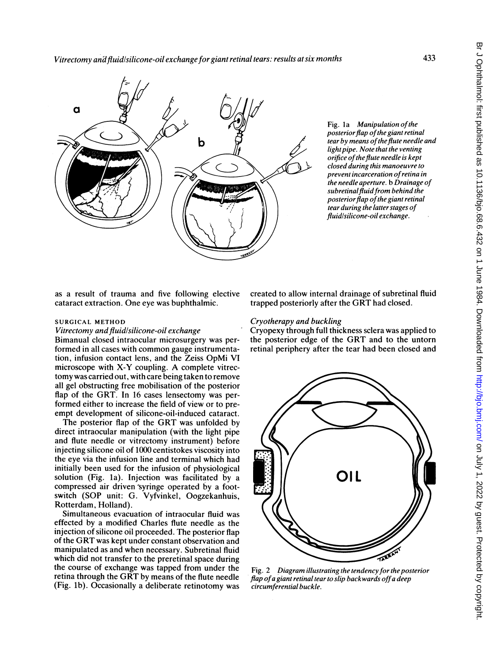

Fig. 1a Manipulation of the posterior flap of the giant retinal tear by means of the flute needle and light pipe. Note that the venting orifice of the flute needle is kept closed during this manoeuvre to prevent incarceration ofretina in the needle aperture. b Drainage of  $subretinal$  fluid from behind the posterior flap of the giant retinal tear during the latter stages of fluidlsilicone-oil exchange.

as a result of trauma and five following elective cataract extraction. One eye was buphthalmic.

## SURGICAL METHOD

# Vitrectomy and fluid/silicone-oil exchange

Bimanual closed intraocular microsurgery was performed in all cases with common gauge instrumentation, infusion contact lens, and the Zeiss OpMi VI microscope with X-Y coupling. A complete vitrectomy was carried out, with care being taken to remove all gel obstructing free mobilisation of the posterior flap of the GRT. In 16 cases lensectomy was performed either to increase the field of view or to preempt development of silicone-oil-induced cataract.

The posterior flap of the GRT was unfolded by direct intraocular manipulation (with the light pipe and flute needle or vitrectomy instrument) before injecting silicone oil of 1000 centistokes viscosity into the eye via the infusion line and terminal which had initially been used for the infusion of physiological solution (Fig. la). Injection was facilitated by a compressed air driven syringe operated by a footswitch (SOP unit: G. Vyfvinkel, Oogzekanhuis, Rotterdam, Holland).

Simultaneous evacuation of intraocular fluid was effected by a modified Charles flute needle as the injection of silicone oil proceeded. The posterior flap of the GRT was kept under constant observation and manipulated as and when necessary. Subretinal fluid which did not transfer to the preretinal space during the course of exchange was tapped from under the retina through the GRT by means of the flute needle (Fig. lb). Occasionally a deliberate retinotomy was created to allow internal drainage of subretinal fluid trapped posteriorly after the GRT had closed.

# Cryotherapy and buckling

Cryopexy through full thickness sclera was applied to the posterior edge of the GRT and to the untorn retinal periphery after the tear had been closed and



Fig. 2 Diagram illustrating the tendency for the posterior flap of a giant retinal tear to slip backwards off a deep circumferential buckle.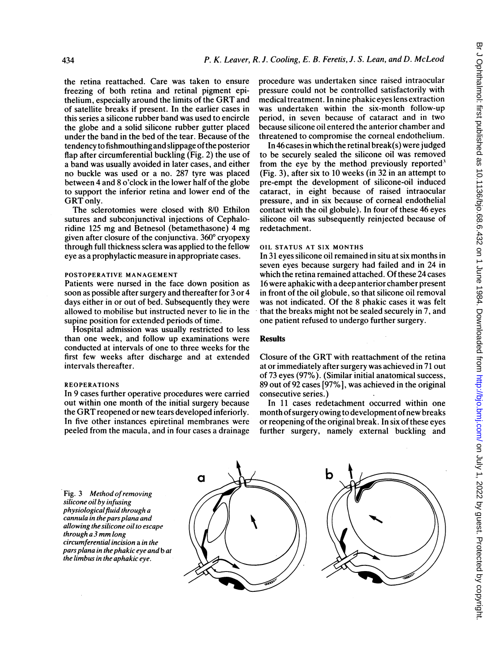the retina reattached. Care was taken to ensure freezing of both retina and retinal pigment epithelium, especially around the limits of the GRT and of satellite breaks if present. In the earlier cases in this series a silicone rubber band was used to encircle the globe and a solid silicone rubber gutter placed under the band in the bed of the tear. Because of the tendency to fishmouthing and slippage ofthe posterior flap after circumferential buckling (Fig. 2) the use of a band was usually avoided in later cases, and either no buckle was used or a no. 287 tyre was placed between 4 and 8 o'clock in the lower half of the globe to support the inferior retina and lower end of the GRT only.

The sclerotomies were closed with 8/0 Ethilon sutures and subconjunctival injections of Cephaloridine <sup>125</sup> mg and Betnesol (betamethasone) 4 mg given after closure of the conjunctiva. 360° cryopexy through full thickness sclera was applied to the fellow eye as a prophylactic measure in appropriate cases.

## POSTOPERATIVE MANAGEMENT

Patients were nursed in the face down position as soon as possible after surgery and thereafter for 3 or 4 days either in or out of bed. Subsequently they were allowed to mobilise but instructed never to lie in the supine position for extended periods of time.

Hospital admission was usually restricted to less than one week, and follow up examinations were conducted at intervals of one to three weeks for the first few weeks after discharge and at extended intervals thereafter.

#### REOPERATIONS

In 9 cases further operative procedures were carried out within one month of the initial surgery because the GRT reopened or new tears developed inferiorly. In five other instances epiretinal membranes were peeled from the macula, and in four cases a drainage procedure was undertaken since raised intraocular pressure could not be controlled satisfactorily with medical treatment. In nine phakic eyes lens extraction was undertaken within the six-month follow-up period, in seven because of cataract and in two because silicone oil entered the anterior chamber and threatened to compromise the corneal endothelium.

In 46 cases in which the retinal break(s) were judged to be securely sealed the silicone oil was removed from the eye by the method previously reported<sup>3</sup> (Fig. 3), after six to 10 weeks (in 32 in an attempt to pre-empt the development of silicone-oil induced cataract, in eight because of raised intraocular pressure, and in six because of corneal endothelial contact with the oil globule). In four of these 46 eyes silicone oil was subsequently reinjected because of redetachment.

#### OIL STATUS AT SIX MONTHS

In 31 eyes silicone oil remained in situ at six months in seven eyes because surgery had failed and in 24 in which the retina remained attached. Of these 24 cases 16 were aphakic with a deep anterior chamber present in front of the oil globule, so that silicone oil removal was not indicated. Of the 8 phakic cases it was felt that the breaks might not be sealed securely in 7, and one patient refused to undergo further surgery.

## Results

Closure of the GRT with reattachment of the retina at or immediately after surgery was achieved in 71 out of 73 eyes (97%). (Similar initial anatomical success, 89 out of 92 cases [97%], was achieved in the original consecutive series.)

In 11 cases redetachment occurred within one month of surgery owing to development of new breaks or reopening of the original break. In six of these eyes further surgery, namely external buckling and

Fig. 3 Method of removing silicone oil by infusing physiological fluid through a cannula in the pars plana and allowing the silicone oil to escape through <sup>a</sup> <sup>3</sup> mm long circumferential incision a in the pars plana in the phakic eye and b at the limbus in the aphakic eye.

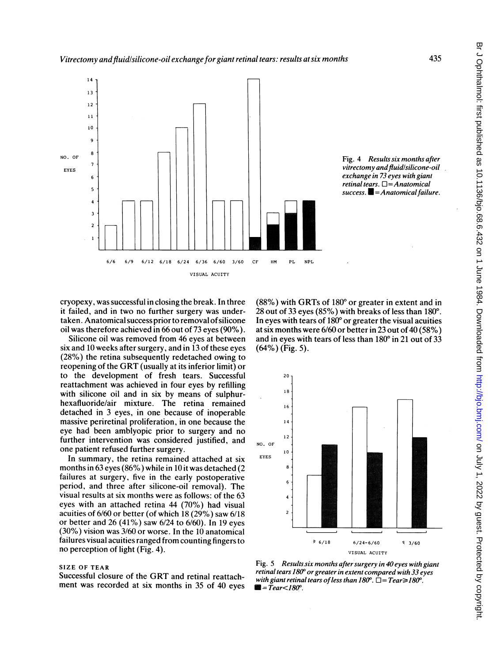

Fig. 4 Results six months after vitrectomy and fluid/silicone-oil exchange in 73 eyes with giant retinal tears.  $\square$  = Anatomical  $success. \blacksquare = Anatomical failure.$ 

cryopexy, was successful in closing the break. In three it failed, and in two no further surgery was undertaken. Anatomical success prior to removal of silicone oil was therefore achieved in 66 out of 73 eyes (90%).

Silicone oil was removed from 46 eyes at between six and 10 weeks after surgery, and in 13 of these eyes (28%) the retina subsequently redetached owing to reopening of the GRT (usually at its inferior limit) or to the development of fresh tears. Successful reattachment was achieved in four eyes by refilling with silicone oil and in six by means of sulphurhexafluoride/air mixture. The retina remained detached in 3 eyes, in one because of inoperable massive periretinal proliferation, in one because the eye had been amblyopic prior to surgery and no further intervention was considered justified, and one patient refused further surgery.

In summary, the retina remained attached at six months in 63 eyes (86%) while in 10 it was detached (2 failures at surgery, five in the early postoperative period, and three after silicone-oil removal). The visual results at six months were as follows: of the 63 eyes with an attached retina 44 (70%) had visual acuities of 6/60 or better (of which 18 (29%) saw 6/18 or better and 26 (41%) saw 6/24 to 6/60). In 19 eyes (30%) vision was 3/60 or worse. In the 10 anatomical failures visual acuities ranged from counting fingers to no perception of light (Fig. 4).

# SIZE OF TEAR

Successful closure of the GRT and retinal reattachment was recorded at six months in 35 of 40 eyes

 $(88\%)$  with GRTs of 180 $^{\circ}$  or greater in extent and in 28 out of 33 eyes  $(85\%)$  with breaks of less than 180 $^{\circ}$ . In eyes with tears of  $180^{\circ}$  or greater the visual acuities at six months were 6/60 or better in 23 out of 40 (58%) and in eyes with tears of less than  $180^\circ$  in 21 out of 33 (64%) (Fig. 5).



Fig. 5 Resultssix months after surgery in 40 eyes with giant retinal tears 180" or greater in extent compared with 33 eyes with giant retinal tears of less than  $180^\circ$ .  $\Box$  = Tear  $\geq$  180°.  $\blacksquare = \text{Tear} < 180^\circ.$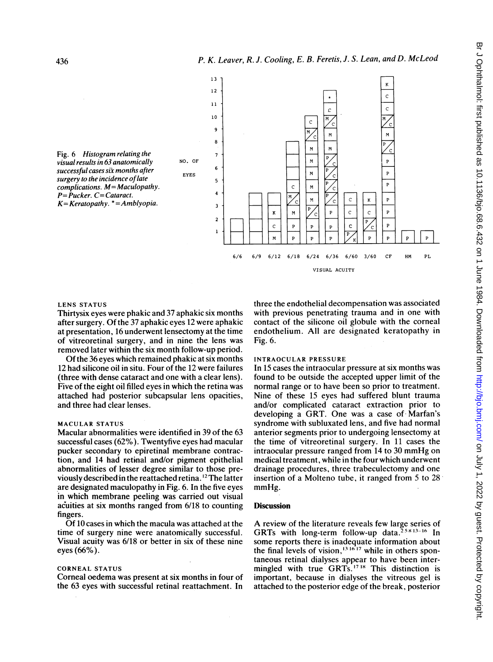

## LENS STATUS

Thirtysix eyes were phakic and 37 aphakic six months after surgery. Of the 37 aphakic eyes 12 were aphakic at presentation, 16 underwent lensectomy at the time of vitreoretinal surgery, and in nine the lens was removed later within the six month follow-up period.

Of the 36 eyes which remained phakic at six months 12 had silicone oil in situ. Four of the 12 were failures (three with dense cataract and one with a clear lens). Five of the eight oil filled eyes in which the retina was attached had posterior subcapsular lens opacities, and three had clear lenses.

## MACULAR STATUS

Macular abnormalities were identified in 39 of the 63 successful cases (62%). Twentyfive eyes had macular pucker secondary to epiretinal membrane contraction, and 14 had retinal and/or pigment epithelial abnormalities of lesser degree similar to those previously described in the reattached retina. <sup>12</sup> The latter are designated maculopathy in Fig. 6. In the five eyes in which membrane peeling was carried out visual acuities at six months ranged from 6/18 to counting fingers.

Of 10 cases in which the macula was attached at the time of surgery nine were anatomically successful. Visual acuity was 6/18 or better in six of these nine eyes (66%).

#### CORNEAL STATUS

Corneal oedema was present at six months in four of the 63 eyes with successful retinal reattachment. In

three the endothelial decompensation was associated with previous penetrating trauma and in one with contact of the silicone oil globule with the corneal endothelium. All are designated keratopathy in Fig. 6.

## INTRAOCULAR PRESSURE

In 15 cases the intraocular pressure at six months was found to be outside the accepted upper limit of the normal range or to have been so prior to treatment. Nine of these 15 eyes had suffered blunt trauma and/or complicated cataract extraction prior to developing a GRT. One was <sup>a</sup> case of Marfan's syndrome with subluxated lens, and five had normal anterior segments prior to undergoing lensectomy at the time of vitreoretinal surgery. In 11 cases the intraocular pressure ranged from <sup>14</sup> to <sup>30</sup> mmHg on medical treatment, while in the four which underwent drainage procedures, three trabeculectomy and one insertion of a Molteno tube, it ranged from 5 to 28 mmHg.

# **Discussion**

A review of the literature reveals few large series of GRTs with long-term follow-up data.<sup>25813-16</sup> In some reports there is inadequate information about the final levels of vision,  $131617$  while in others spontaneous retinal dialyses appear to have been intermingled with true GRTs.<sup>17 18</sup> This distinction is important, because in dialyses the vitreous gel is attached to the posterior edge of the break, posterior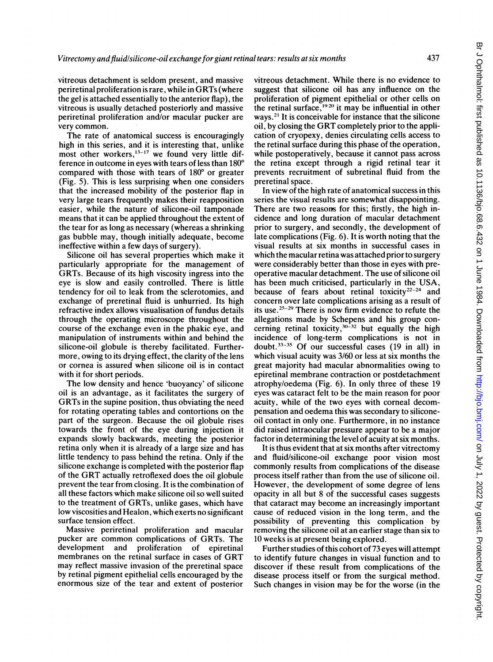vitreous detachment is seldom present, and massive periretinal proliferation is rare, while in GRTs (where the gel is attached essentially to the anterior flap), the vitreous is usually detached posteriorly and massive periretinal proliferation and/or macular pucker are very common.

The rate of anatomical success is encouragingly high in this series, and it is interesting that, unlike most other workers,  $13-17$  we found very little difference in outcome in eyes with tears of less than 180° compared with those with tears of  $180^{\circ}$  or greater (Fig. 5). This is less surprising when one considers that the increased mobility of the posterior flap in very large tears frequently makes their reapposition easier, while the nature of silicone-oil tamponade means that it can be applied throughout the extent of the tear for as long as necessary (whereas a shrinking gas bubble may, though initially adequate, become ineffective within a few days of surgery).

Silicone oil has several properties which make it particularly appropriate for the management of GRTs. Because of its high viscosity ingress into the eye is slow and easily controlled. There is little tendency for oil to leak from the sclerotomies, and exchange of preretinal fluid is unhurried. Its high refractive index allows visualisation of fundus details through the operating microscope throughout the course of the exchange even in the phakic eye, and manipulation of instruments within and behind the silicone-oil globule is thereby facilitated. Furthermore, owing to its drying effect, the clarity of the lens or cornea is assured when silicone oil is in contact with it for short periods.

The low density and hence 'buoyancy' of silicone oil is an advantage, as it facilitates the surgery of GRTs in the supine position, thus obviating the need for rotating operating tables and contortions on the part of the surgeon. Because the oil globule rises towards the front of the eye during injection it expands slowly backwards, meeting the posterior retina only when it is already of a large size and has little tendency to pass behind the retina. Only if the silicone exchange is completed with the posterior flap of the GRT actually retroflexed does the oil globule prevent the tear from closing. It is the combination of all these factors which make silicone oil so well suited to the treatment of GRTs, unlike gases, which have low viscosities and Healon, which exerts no significant surface tension effect.

Massive periretinal proliferation and macular pucker are common complications of GRTs. The development and proliferation of epiretinal membranes on the retinal surface in cases of GRT may reflect massive invasion of the preretinal space by retinal pigment epithelial cells encouraged by the enormous size of the tear and extent of posterior

vitreous detachment. While there is no evidence to suggest that silicone oil has any influence on the proliferation of pigment epithelial or other cells on the retinal surface,  $1920$  it may be influential in other ways.2' It is conceivable for instance that the silicone oil, by closing the GRT completely prior to the application of cryopexy, denies circulating cells access to the retinal surface during this phase of the operation, while postoperatively, because it cannot pass across the retina except through a rigid retinal tear it prevents recruitment of subretinal fluid from the preretinal space.

In view of the high rate of anatomical success in this series the visual results are somewhat disappointing. There are two reasons for this; firstly, the high incidence and long duration of macular detachment prior to surgery, and secondly, the development of late complications (Fig. 6). It is worth noting that the visual results at six months in successful cases in which the macular retina was attached prior to surgery were considerably better than those in eyes with preoperative macular detachment. The use of silicone oil has been much criticised, particularly in the USA, because of fears about retinal toxicity<sup>22-24</sup> and concern over late complications arising as a result of its use.<sup>25-29</sup> There is now firm evidence to refute the allegations made by Schepens and his group concerning retinal toxicity,  $30-32$  but equally the high incidence of long-term complications is not in doubt. $33-35$  Of our successful cases (19 in all) in which visual acuity was 3/60 or less at six months the great majority had macular abnormalities owing to epiretinal membrane contraction or postdetachment atrophy/oedema (Fig. 6). In only three of these 19 eyes was cataract felt to be the main reason for poor acuity, while of the two eyes with corneal decompensation and oedema this was secondary to siliconeoil contact in only one. Furthermore, in no instance did raised intraocular pressure appear to be a major factor in determining the level of acuity at six months.

It is thus evident that at six months after vitrectomy and fluid/silicone-oil exchange poor vision most commonly results from complications of the disease process itself rather than from the use of silicone oil. However, the development of some degree of lens opacity in all but 8 of the successful cases suggests that cataract may become an increasingly important cause of reduced vision in the long term, and the possibility of preventing this complication by removing the silicone oil at an earlier stage than six to 10 weeks is at present being explored.

Further studies of this cohort of 73 eyes will attempt to identify future changes in visual function and to discover if these result from complications of the disease process itself or from the surgical method. Such changes in vision may be for the worse (in the